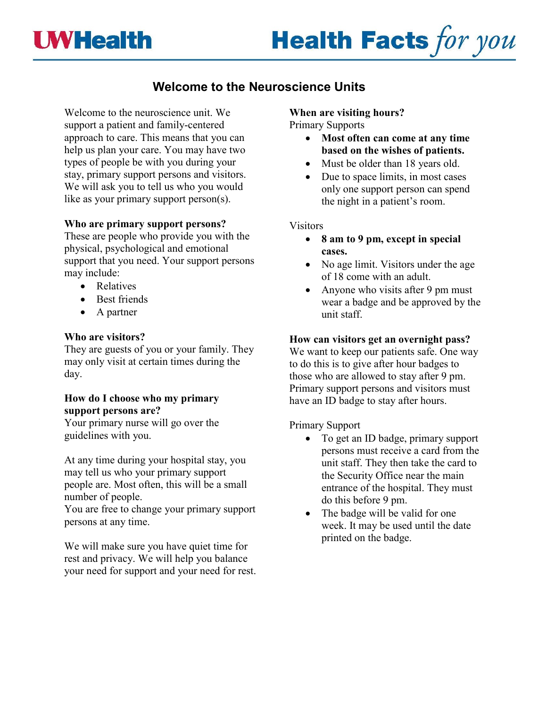# **UWHealth**



# **Welcome to the Neuroscience Units**

Welcome to the neuroscience unit. We support a patient and family-centered approach to care. This means that you can help us plan your care. You may have two types of people be with you during your stay, primary support persons and visitors. We will ask you to tell us who you would like as your primary support person(s).

#### **Who are primary support persons?**

These are people who provide you with the physical, psychological and emotional support that you need. Your support persons may include:

- Relatives
- Best friends
- A partner

#### **Who are visitors?**

They are guests of you or your family. They may only visit at certain times during the day.

## **How do I choose who my primary support persons are?**

Your primary nurse will go over the guidelines with you.

At any time during your hospital stay, you may tell us who your primary support people are. Most often, this will be a small number of people.

You are free to change your primary support persons at any time.

We will make sure you have quiet time for rest and privacy. We will help you balance your need for support and your need for rest. **When are visiting hours?**

Primary Supports

- **Most often can come at any time based on the wishes of patients.**
- Must be older than 18 years old.
- Due to space limits, in most cases only one support person can spend the night in a patient's room.

#### Visitors

- **8 am to 9 pm, except in special cases.**
- No age limit. Visitors under the age of 18 come with an adult.
- Anyone who visits after 9 pm must wear a badge and be approved by the unit staff.

#### **How can visitors get an overnight pass?**

We want to keep our patients safe. One way to do this is to give after hour badges to those who are allowed to stay after 9 pm. Primary support persons and visitors must have an ID badge to stay after hours.

## Primary Support

- To get an ID badge, primary support persons must receive a card from the unit staff. They then take the card to the Security Office near the main entrance of the hospital. They must do this before 9 pm.
- The badge will be valid for one week. It may be used until the date printed on the badge.